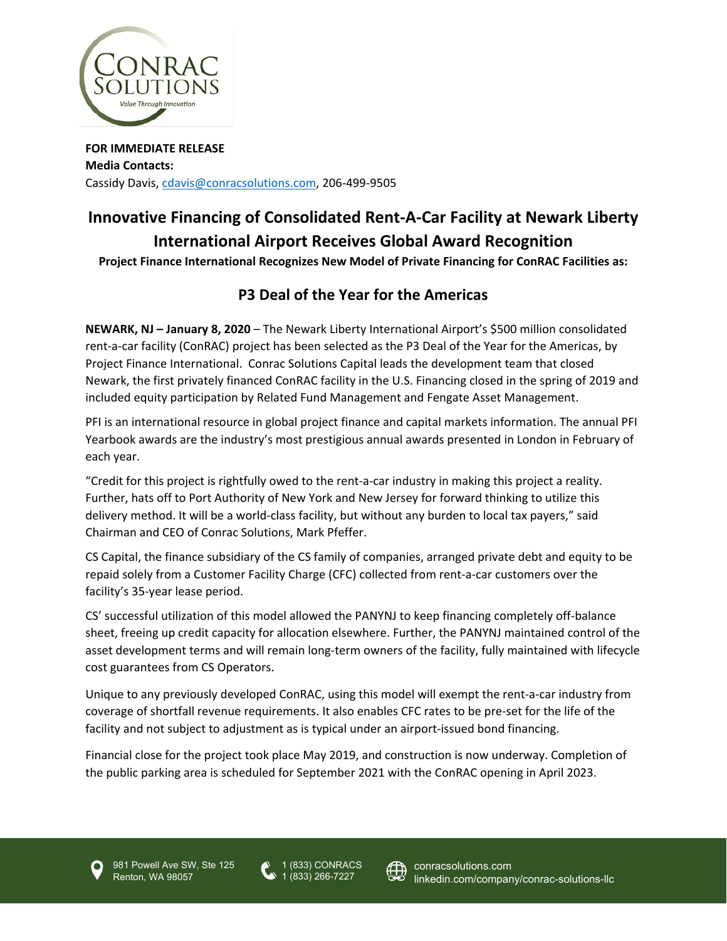

**FOR IMMEDIATE RELEASE Media Contacts:** Cassidy Davis[, cdavis@conracsolutions.com,](mailto:cdavis@conracsolutions.com) 206-499-9505

## **Innovative Financing of Consolidated Rent-A-Car Facility at Newark Liberty International Airport Receives Global Award Recognition**

**Project Finance International Recognizes New Model of Private Financing for ConRAC Facilities as:** 

## **P3 Deal of the Year for the Americas**

**NEWARK, NJ – January 8, 2020** – The Newark Liberty International Airport's \$500 million consolidated rent-a-car facility (ConRAC) project has been selected as the P3 Deal of the Year for the Americas, by Project Finance International. Conrac Solutions Capital leads the development team that closed Newark, the first privately financed ConRAC facility in the U.S. Financing closed in the spring of 2019 and included equity participation by Related Fund Management and Fengate Asset Management.

PFI is an international resource in global project finance and capital markets information. The annual PFI Yearbook awards are the industry's most prestigious annual awards presented in London in February of each year.

"Credit for this project is rightfully owed to the rent-a-car industry in making this project a reality. Further, hats off to Port Authority of New York and New Jersey for forward thinking to utilize this delivery method. It will be a world-class facility, but without any burden to local tax payers," said Chairman and CEO of Conrac Solutions, Mark Pfeffer.

CS Capital, the finance subsidiary of the CS family of companies, arranged private debt and equity to be repaid solely from a Customer Facility Charge (CFC) collected from rent-a-car customers over the facility's 35-year lease period.

CS' successful utilization of this model allowed the PANYNJ to keep financing completely off-balance sheet, freeing up credit capacity for allocation elsewhere. Further, the PANYNJ maintained control of the asset development terms and will remain long-term owners of the facility, fully maintained with lifecycle cost guarantees from CS Operators.

Unique to any previously developed ConRAC, using this model will exempt the rent-a-car industry from coverage of shortfall revenue requirements. It also enables CFC rates to be pre-set for the life of the facility and not subject to adjustment as is typical under an airport-issued bond financing.

Financial close for the project took place May 2019, and construction is now underway. Completion of the public parking area is scheduled for September 2021 with the ConRAC opening in April 2023.



981 Powell Ave SW, Ste 125 Renton, WA 98057

1 (833) CONRACS 1 (833) 266-7227



[conracsolutions.com](http://www.conracsolutions.com/) linkedin.com/company/conrac-solutions-llc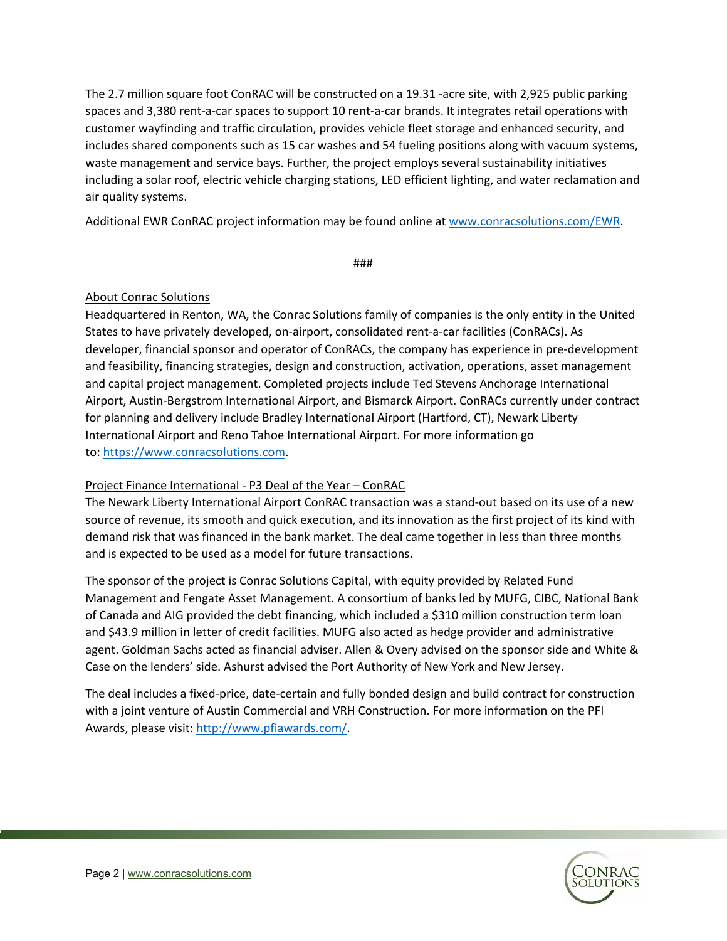The 2.7 million square foot ConRAC will be constructed on a 19.31 -acre site, with 2,925 public parking spaces and 3,380 rent-a-car spaces to support 10 rent-a-car brands. It integrates retail operations with customer wayfinding and traffic circulation, provides vehicle fleet storage and enhanced security, and includes shared components such as 15 car washes and 54 fueling positions along with vacuum systems, waste management and service bays. Further, the project employs several sustainability initiatives including a solar roof, electric vehicle charging stations, LED efficient lighting, and water reclamation and air quality systems.

Additional EWR ConRAC project information may be found online at [www.conracsolutions.com/EWR.](http://www.conracsolutions.com/EWR)

###

## About Conrac Solutions

Headquartered in Renton, WA, the Conrac Solutions family of companies is the only entity in the United States to have privately developed, on-airport, consolidated rent-a-car facilities (ConRACs). As developer, financial sponsor and operator of ConRACs, the company has experience in pre-development and feasibility, financing strategies, design and construction, activation, operations, asset management and capital project management. Completed projects include Ted Stevens Anchorage International Airport, Austin-Bergstrom International Airport, and Bismarck Airport. ConRACs currently under contract for planning and delivery include Bradley International Airport (Hartford, CT), Newark Liberty International Airport and Reno Tahoe International Airport. For more information go to: [https://www.conracsolutions.com.](https://c212.net/c/link/?t=0&l=en&o=2590623-1&h=862717808&u=https%3A%2F%2Fwww.conracsolutions.com%2F&a=https%3A%2F%2Fwww.conracsolutions.com)

## Project Finance International - P3 Deal of the Year – ConRAC

The Newark Liberty International Airport ConRAC transaction was a stand-out based on its use of a new source of revenue, its smooth and quick execution, and its innovation as the first project of its kind with demand risk that was financed in the bank market. The deal came together in less than three months and is expected to be used as a model for future transactions.

The sponsor of the project is Conrac Solutions Capital, with equity provided by Related Fund Management and Fengate Asset Management. A consortium of banks led by MUFG, CIBC, National Bank of Canada and AIG provided the debt financing, which included a \$310 million construction term loan and \$43.9 million in letter of credit facilities. MUFG also acted as hedge provider and administrative agent. Goldman Sachs acted as financial adviser. Allen & Overy advised on the sponsor side and White & Case on the lenders' side. Ashurst advised the Port Authority of New York and New Jersey.

The deal includes a fixed-price, date-certain and fully bonded design and build contract for construction with a joint venture of Austin Commercial and VRH Construction. For more information on the PFI Awards, please visit: [http://www.pfiawards.com/.](http://www.pfiawards.com/)